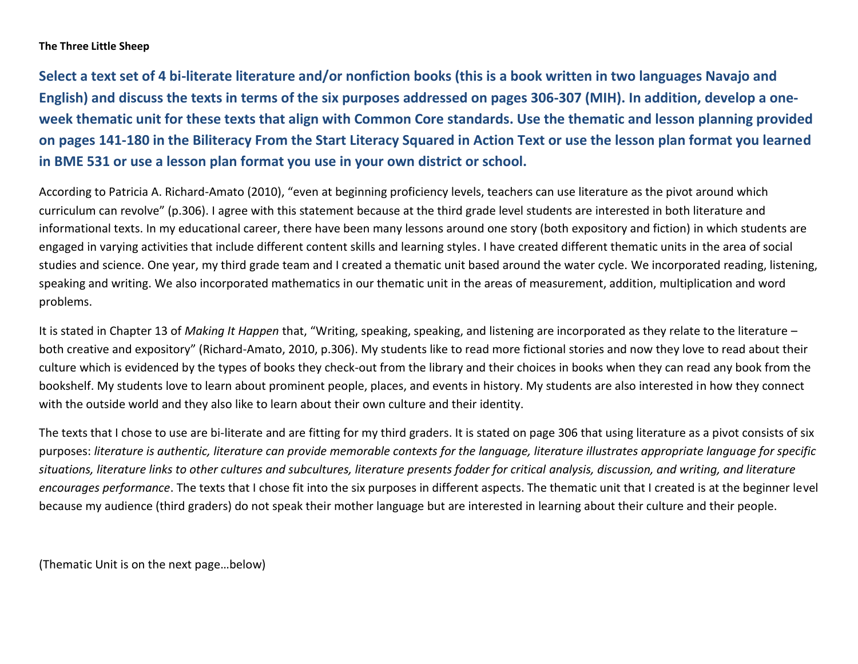#### **The Three Little Sheep**

**Select a text set of 4 bi-literate literature and/or nonfiction books (this is a book written in two languages Navajo and English) and discuss the texts in terms of the six purposes addressed on pages 306-307 (MIH). In addition, develop a oneweek thematic unit for these texts that align with Common Core standards. Use the thematic and lesson planning provided on pages 141-180 in the Biliteracy From the Start Literacy Squared in Action Text or use the lesson plan format you learned in BME 531 or use a lesson plan format you use in your own district or school.**

According to Patricia A. Richard-Amato (2010), "even at beginning proficiency levels, teachers can use literature as the pivot around which curriculum can revolve" (p.306). I agree with this statement because at the third grade level students are interested in both literature and informational texts. In my educational career, there have been many lessons around one story (both expository and fiction) in which students are engaged in varying activities that include different content skills and learning styles. I have created different thematic units in the area of social studies and science. One year, my third grade team and I created a thematic unit based around the water cycle. We incorporated reading, listening, speaking and writing. We also incorporated mathematics in our thematic unit in the areas of measurement, addition, multiplication and word problems.

It is stated in Chapter 13 of *Making It Happen* that, "Writing, speaking, speaking, and listening are incorporated as they relate to the literature – both creative and expository" (Richard-Amato, 2010, p.306). My students like to read more fictional stories and now they love to read about their culture which is evidenced by the types of books they check-out from the library and their choices in books when they can read any book from the bookshelf. My students love to learn about prominent people, places, and events in history. My students are also interested in how they connect with the outside world and they also like to learn about their own culture and their identity.

The texts that I chose to use are bi-literate and are fitting for my third graders. It is stated on page 306 that using literature as a pivot consists of six purposes: *literature is authentic, literature can provide memorable contexts for the language, literature illustrates appropriate language for specific situations, literature links to other cultures and subcultures, literature presents fodder for critical analysis, discussion, and writing, and literature encourages performance*. The texts that I chose fit into the six purposes in different aspects. The thematic unit that I created is at the beginner level because my audience (third graders) do not speak their mother language but are interested in learning about their culture and their people.

(Thematic Unit is on the next page…below)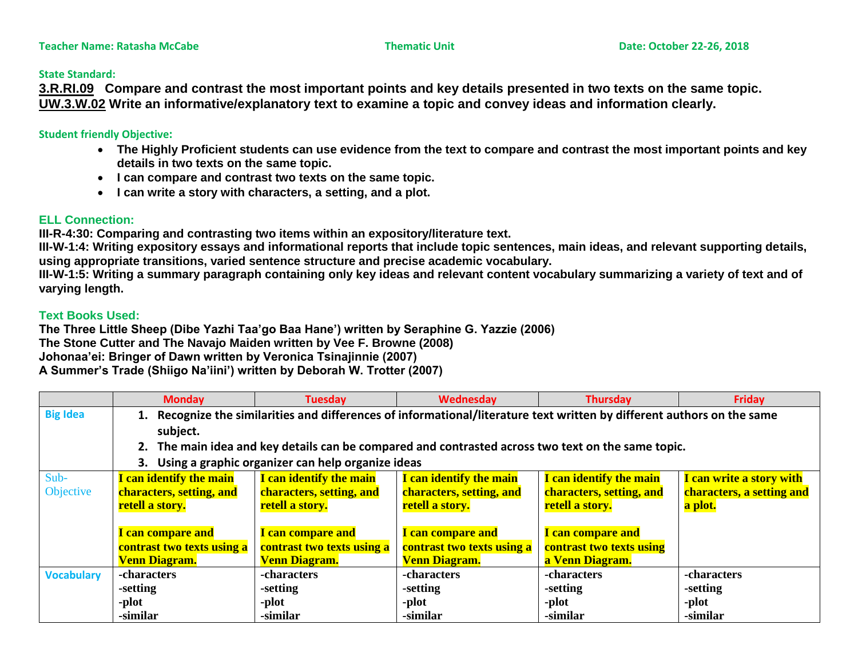### **State Standard:**

**3.R.RI.09 Compare and contrast the most important points and key details presented in two texts on the same topic. UW.3.W.02 Write an informative/explanatory text to examine a topic and convey ideas and information clearly.** 

### **Student friendly Objective:**

- **The Highly Proficient students can use evidence from the text to compare and contrast the most important points and key details in two texts on the same topic.**
- **I can compare and contrast two texts on the same topic.**
- **I can write a story with characters, a setting, and a plot.**

# **ELL Connection:**

**III-R-4:30: Comparing and contrasting two items within an expository/literature text.**

**III-W-1:4: Writing expository essays and informational reports that include topic sentences, main ideas, and relevant supporting details, using appropriate transitions, varied sentence structure and precise academic vocabulary.** 

**III-W-1:5: Writing a summary paragraph containing only key ideas and relevant content vocabulary summarizing a variety of text and of varying length.**

# **Text Books Used:**

**The Three Little Sheep (Dibe Yazhi Taa'go Baa Hane') written by Seraphine G. Yazzie (2006) The Stone Cutter and The Navajo Maiden written by Vee F. Browne (2008) Johonaa'ei: Bringer of Dawn written by Veronica Tsinajinnie (2007) A Summer's Trade (Shiigo Na'iini') written by Deborah W. Trotter (2007)**

|                   | <b>Monday</b>                                                                                                           | <b>Tuesday</b>             | Wednesday                  | <b>Thursday</b>          | <b>Friday</b>             |  |
|-------------------|-------------------------------------------------------------------------------------------------------------------------|----------------------------|----------------------------|--------------------------|---------------------------|--|
| <b>Big Idea</b>   | 1. Recognize the similarities and differences of informational/literature text written by different authors on the same |                            |                            |                          |                           |  |
|                   | subject.                                                                                                                |                            |                            |                          |                           |  |
|                   | 2. The main idea and key details can be compared and contrasted across two text on the same topic.                      |                            |                            |                          |                           |  |
|                   | 3. Using a graphic organizer can help organize ideas                                                                    |                            |                            |                          |                           |  |
| Sub-              | I can identify the main                                                                                                 | I can identify the main    | I can identify the main    | I can identify the main  | I can write a story with  |  |
| Objective         | characters, setting, and                                                                                                | characters, setting, and   | characters, setting, and   | characters, setting, and | characters, a setting and |  |
|                   | retell a story.                                                                                                         | retell a story.            | retell a story.            | retell a story.          | a plot.                   |  |
|                   |                                                                                                                         |                            |                            |                          |                           |  |
|                   | I can compare and                                                                                                       | I can compare and          | I can compare and          | I can compare and        |                           |  |
|                   | contrast two texts using a                                                                                              | contrast two texts using a | contrast two texts using a | contrast two texts using |                           |  |
|                   | <b>Venn Diagram.</b>                                                                                                    | <b>Venn Diagram.</b>       | <b>Venn Diagram.</b>       | a Venn Diagram.          |                           |  |
| <b>Vocabulary</b> | -characters                                                                                                             | -characters                | -characters                | -characters              | -characters               |  |
|                   | -setting                                                                                                                | -setting                   | -setting                   | -setting                 | -setting                  |  |
|                   | -plot                                                                                                                   | -plot                      | -plot                      | -plot                    | -plot                     |  |
|                   | -similar                                                                                                                | -similar                   | -similar                   | -similar                 | -similar                  |  |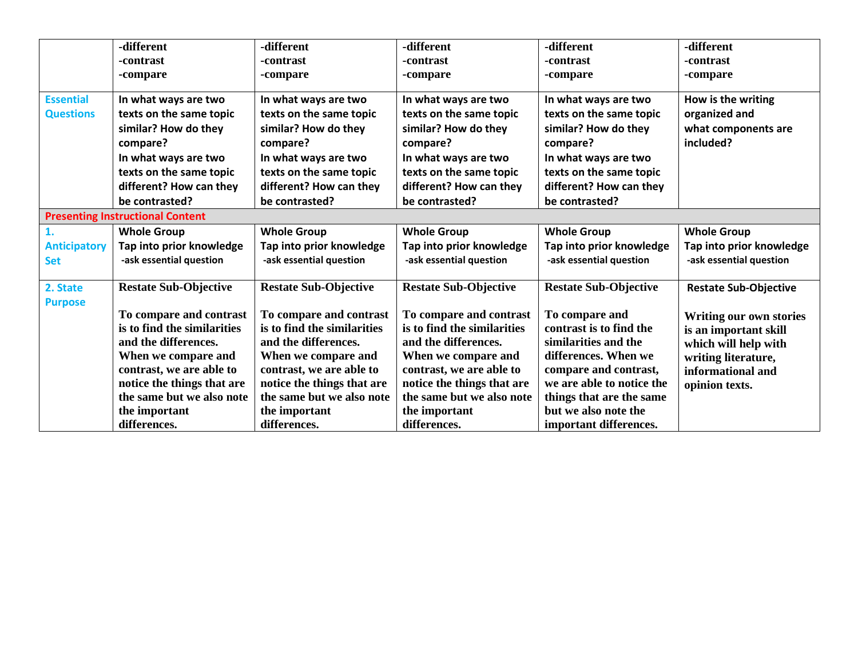|                     | -different                              | -different                   | -different                   | -different                   | -different                     |
|---------------------|-----------------------------------------|------------------------------|------------------------------|------------------------------|--------------------------------|
|                     | -contrast                               | -contrast                    | -contrast                    | -contrast                    | -contrast                      |
|                     | -compare                                | -compare                     | -compare                     | -compare                     | -compare                       |
|                     |                                         |                              |                              |                              |                                |
| <b>Essential</b>    | In what ways are two                    | In what ways are two         | In what ways are two         | In what ways are two         | How is the writing             |
| <b>Questions</b>    | texts on the same topic                 | texts on the same topic      | texts on the same topic      | texts on the same topic      | organized and                  |
|                     | similar? How do they                    | similar? How do they         | similar? How do they         | similar? How do they         | what components are            |
|                     | compare?                                | compare?                     | compare?                     | compare?                     | included?                      |
|                     | In what ways are two                    | In what ways are two         | In what ways are two         | In what ways are two         |                                |
|                     | texts on the same topic                 | texts on the same topic      | texts on the same topic      | texts on the same topic      |                                |
|                     | different? How can they                 | different? How can they      | different? How can they      | different? How can they      |                                |
|                     | be contrasted?                          | be contrasted?               | be contrasted?               | be contrasted?               |                                |
|                     | <b>Presenting Instructional Content</b> |                              |                              |                              |                                |
| 1.                  | <b>Whole Group</b>                      | <b>Whole Group</b>           | <b>Whole Group</b>           | <b>Whole Group</b>           | <b>Whole Group</b>             |
| <b>Anticipatory</b> | Tap into prior knowledge                | Tap into prior knowledge     | Tap into prior knowledge     | Tap into prior knowledge     | Tap into prior knowledge       |
| <b>Set</b>          | -ask essential question                 | -ask essential question      | -ask essential question      | -ask essential question      | -ask essential question        |
|                     |                                         |                              |                              |                              |                                |
| 2. State            | <b>Restate Sub-Objective</b>            | <b>Restate Sub-Objective</b> | <b>Restate Sub-Objective</b> | <b>Restate Sub-Objective</b> | <b>Restate Sub-Objective</b>   |
| <b>Purpose</b>      |                                         |                              |                              |                              |                                |
|                     | To compare and contrast                 | To compare and contrast      | To compare and contrast      | To compare and               | <b>Writing our own stories</b> |
|                     | is to find the similarities             | is to find the similarities  | is to find the similarities  | contrast is to find the      | is an important skill          |
|                     | and the differences.                    | and the differences.         | and the differences.         | similarities and the         | which will help with           |
|                     | When we compare and                     | When we compare and          | When we compare and          | differences. When we         | writing literature,            |
|                     | contrast, we are able to                | contrast, we are able to     | contrast, we are able to     | compare and contrast,        | informational and              |
|                     | notice the things that are              | notice the things that are   | notice the things that are   | we are able to notice the    | opinion texts.                 |
|                     | the same but we also note               | the same but we also note    | the same but we also note    | things that are the same     |                                |
|                     | the important                           | the important                | the important                | but we also note the         |                                |
|                     | differences.                            | differences.                 | differences.                 | important differences.       |                                |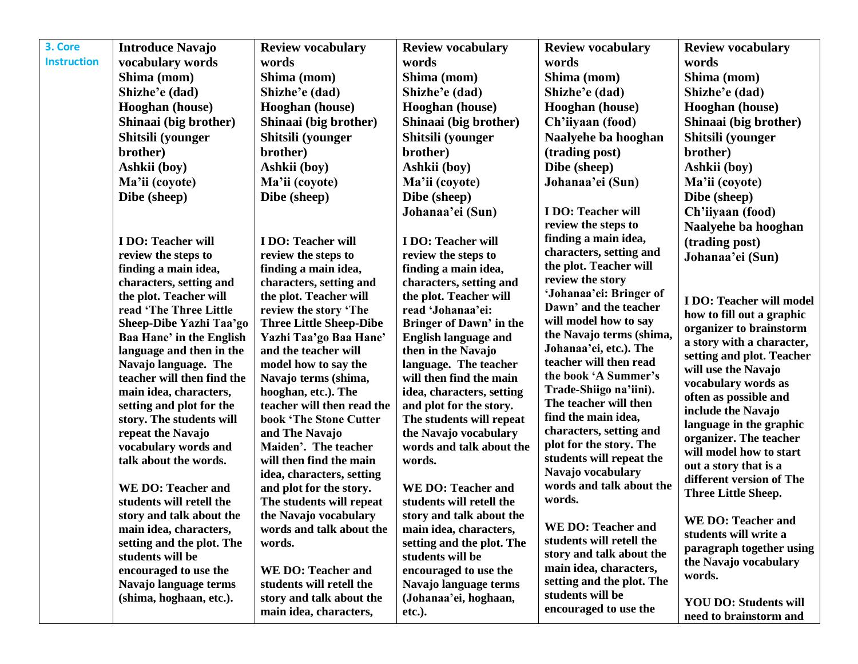| <b>Instruction</b><br>vocabulary words<br>words<br>words<br>words<br>words<br>Shima (mom)<br>Shima (mom)<br>Shima (mom)<br>Shima (mom)<br>Shima (mom)<br>Shizhe'e (dad)<br>Shizhe'e (dad)<br>Shizhe'e (dad)<br>Shizhe'e (dad)<br>Shizhe'e (dad)<br><b>Hooghan</b> (house)<br>Hooghan (house)<br><b>Hooghan</b> (house)<br>Hooghan (house)<br><b>Hooghan</b> (house)<br>Shinaai (big brother)<br>Shinaai (big brother)<br>Shinaai (big brother)<br>Ch'iiyaan (food)<br>Shinaai (big brother)<br>Shitsili (younger<br>Shitsili (younger<br>Shitsili (younger<br>Naalyehe ba hooghan<br>Shitsili (younger<br>brother)<br>brother)<br>brother)<br>(trading post)<br>brother)<br>Ashkii (boy)<br>Ashkii (boy)<br>Dibe (sheep)<br>Ashkii (boy)<br>Ashkii (boy)<br>Ma'ii (coyote)<br>Ma'ii (coyote)<br>Johanaa'ei (Sun)<br>Ma'ii (coyote)<br>Ma'ii (coyote)<br>Dibe (sheep)<br>Dibe (sheep)<br>Dibe (sheep)<br>Dibe (sheep)<br><b>I DO: Teacher will</b><br>Ch'iiyaan (food)<br>Johanaa'ei (Sun)<br>review the steps to<br>Naalyehe ba hooghan<br>finding a main idea,<br><b>I DO: Teacher will</b><br>I DO: Teacher will<br>I DO: Teacher will<br>(trading post)<br>characters, setting and<br>review the steps to<br>review the steps to<br>review the steps to<br>Johanaa'ei (Sun)<br>the plot. Teacher will<br>finding a main idea,<br>finding a main idea,<br>finding a main idea,<br>review the story<br>characters, setting and<br>characters, setting and<br>characters, setting and<br>'Johanaa'ei: Bringer of<br>the plot. Teacher will<br>the plot. Teacher will<br>the plot. Teacher will<br>I DO: Teacher will model<br>Dawn' and the teacher<br>read 'The Three Little<br>read 'Johanaa'ei:<br>review the story 'The<br>how to fill out a graphic<br>will model how to say<br>Sheep-Dibe Yazhi Taa'go<br><b>Three Little Sheep-Dibe</b><br>Bringer of Dawn' in the<br>organizer to brainstorm<br>the Navajo terms (shima,<br>Yazhi Taa'go Baa Hane'<br><b>English language and</b><br><b>Baa Hane' in the English</b><br>a story with a character,<br>Johanaa'ei, etc.). The<br>and the teacher will<br>language and then in the<br>then in the Navajo<br>setting and plot. Teacher<br>teacher will then read<br>Navajo language. The<br>model how to say the<br>language. The teacher<br>will use the Navajo<br>the book 'A Summer's<br>teacher will then find the<br>Navajo terms (shima,<br>will then find the main<br>vocabulary words as<br>Trade-Shiigo na'iini).<br>main idea, characters,<br>idea, characters, setting<br>hooghan, etc.). The<br>often as possible and<br>The teacher will then<br>teacher will then read the<br>setting and plot for the<br>and plot for the story.<br>include the Navajo<br>find the main idea,<br>story. The students will<br>book 'The Stone Cutter<br>The students will repeat<br>language in the graphic<br>characters, setting and<br>repeat the Navajo<br>and The Navajo<br>the Navajo vocabulary<br>organizer. The teacher<br>plot for the story. The<br>vocabulary words and<br>Maiden'. The teacher<br>words and talk about the<br>will model how to start<br>students will repeat the<br>talk about the words.<br>will then find the main<br>words.<br>out a story that is a<br>Navajo vocabulary<br>idea, characters, setting<br>different version of The<br>words and talk about the<br><b>WE DO: Teacher and</b><br><b>WE DO: Teacher and</b><br>and plot for the story.<br>Three Little Sheep.<br>words.<br>students will retell the<br>The students will repeat<br>students will retell the<br>the Navajo vocabulary<br>story and talk about the<br>story and talk about the<br><b>WE DO: Teacher and</b><br><b>WE DO: Teacher and</b><br>main idea, characters,<br>main idea, characters,<br>words and talk about the<br>students will write a<br>students will retell the<br>setting and the plot. The<br>setting and the plot. The<br>words.<br>paragraph together using<br>story and talk about the<br>students will be<br>students will be<br>the Navajo vocabulary<br>main idea, characters,<br>encouraged to use the<br><b>WE DO: Teacher and</b><br>encouraged to use the<br>words.<br>setting and the plot. The<br>students will retell the<br>Navajo language terms<br>Navajo language terms<br>students will be<br>(shima, hoghaan, etc.).<br>(Johanaa'ei, hoghaan,<br>story and talk about the<br><b>YOU DO: Students will</b> | 3. Core | <b>Introduce Navajo</b> | <b>Review vocabulary</b> | <b>Review vocabulary</b> | <b>Review vocabulary</b> | <b>Review vocabulary</b> |
|------------------------------------------------------------------------------------------------------------------------------------------------------------------------------------------------------------------------------------------------------------------------------------------------------------------------------------------------------------------------------------------------------------------------------------------------------------------------------------------------------------------------------------------------------------------------------------------------------------------------------------------------------------------------------------------------------------------------------------------------------------------------------------------------------------------------------------------------------------------------------------------------------------------------------------------------------------------------------------------------------------------------------------------------------------------------------------------------------------------------------------------------------------------------------------------------------------------------------------------------------------------------------------------------------------------------------------------------------------------------------------------------------------------------------------------------------------------------------------------------------------------------------------------------------------------------------------------------------------------------------------------------------------------------------------------------------------------------------------------------------------------------------------------------------------------------------------------------------------------------------------------------------------------------------------------------------------------------------------------------------------------------------------------------------------------------------------------------------------------------------------------------------------------------------------------------------------------------------------------------------------------------------------------------------------------------------------------------------------------------------------------------------------------------------------------------------------------------------------------------------------------------------------------------------------------------------------------------------------------------------------------------------------------------------------------------------------------------------------------------------------------------------------------------------------------------------------------------------------------------------------------------------------------------------------------------------------------------------------------------------------------------------------------------------------------------------------------------------------------------------------------------------------------------------------------------------------------------------------------------------------------------------------------------------------------------------------------------------------------------------------------------------------------------------------------------------------------------------------------------------------------------------------------------------------------------------------------------------------------------------------------------------------------------------------------------------------------------------------------------------------------------------------------------------------------------------------------------------------------------------------------------------------------------------------------------------------------------------------------------------------------------------------------------------------------------------------------------------------------------------------------------------------------------------------------------------------------------------------------------------------------------------------------------------------------------------------------------------------------------------------------------------------|---------|-------------------------|--------------------------|--------------------------|--------------------------|--------------------------|
|                                                                                                                                                                                                                                                                                                                                                                                                                                                                                                                                                                                                                                                                                                                                                                                                                                                                                                                                                                                                                                                                                                                                                                                                                                                                                                                                                                                                                                                                                                                                                                                                                                                                                                                                                                                                                                                                                                                                                                                                                                                                                                                                                                                                                                                                                                                                                                                                                                                                                                                                                                                                                                                                                                                                                                                                                                                                                                                                                                                                                                                                                                                                                                                                                                                                                                                                                                                                                                                                                                                                                                                                                                                                                                                                                                                                                                                                                                                                                                                                                                                                                                                                                                                                                                                                                                                                                                                                            |         |                         |                          |                          |                          |                          |
|                                                                                                                                                                                                                                                                                                                                                                                                                                                                                                                                                                                                                                                                                                                                                                                                                                                                                                                                                                                                                                                                                                                                                                                                                                                                                                                                                                                                                                                                                                                                                                                                                                                                                                                                                                                                                                                                                                                                                                                                                                                                                                                                                                                                                                                                                                                                                                                                                                                                                                                                                                                                                                                                                                                                                                                                                                                                                                                                                                                                                                                                                                                                                                                                                                                                                                                                                                                                                                                                                                                                                                                                                                                                                                                                                                                                                                                                                                                                                                                                                                                                                                                                                                                                                                                                                                                                                                                                            |         |                         |                          |                          |                          |                          |
|                                                                                                                                                                                                                                                                                                                                                                                                                                                                                                                                                                                                                                                                                                                                                                                                                                                                                                                                                                                                                                                                                                                                                                                                                                                                                                                                                                                                                                                                                                                                                                                                                                                                                                                                                                                                                                                                                                                                                                                                                                                                                                                                                                                                                                                                                                                                                                                                                                                                                                                                                                                                                                                                                                                                                                                                                                                                                                                                                                                                                                                                                                                                                                                                                                                                                                                                                                                                                                                                                                                                                                                                                                                                                                                                                                                                                                                                                                                                                                                                                                                                                                                                                                                                                                                                                                                                                                                                            |         |                         |                          |                          |                          |                          |
|                                                                                                                                                                                                                                                                                                                                                                                                                                                                                                                                                                                                                                                                                                                                                                                                                                                                                                                                                                                                                                                                                                                                                                                                                                                                                                                                                                                                                                                                                                                                                                                                                                                                                                                                                                                                                                                                                                                                                                                                                                                                                                                                                                                                                                                                                                                                                                                                                                                                                                                                                                                                                                                                                                                                                                                                                                                                                                                                                                                                                                                                                                                                                                                                                                                                                                                                                                                                                                                                                                                                                                                                                                                                                                                                                                                                                                                                                                                                                                                                                                                                                                                                                                                                                                                                                                                                                                                                            |         |                         |                          |                          |                          |                          |
|                                                                                                                                                                                                                                                                                                                                                                                                                                                                                                                                                                                                                                                                                                                                                                                                                                                                                                                                                                                                                                                                                                                                                                                                                                                                                                                                                                                                                                                                                                                                                                                                                                                                                                                                                                                                                                                                                                                                                                                                                                                                                                                                                                                                                                                                                                                                                                                                                                                                                                                                                                                                                                                                                                                                                                                                                                                                                                                                                                                                                                                                                                                                                                                                                                                                                                                                                                                                                                                                                                                                                                                                                                                                                                                                                                                                                                                                                                                                                                                                                                                                                                                                                                                                                                                                                                                                                                                                            |         |                         |                          |                          |                          |                          |
|                                                                                                                                                                                                                                                                                                                                                                                                                                                                                                                                                                                                                                                                                                                                                                                                                                                                                                                                                                                                                                                                                                                                                                                                                                                                                                                                                                                                                                                                                                                                                                                                                                                                                                                                                                                                                                                                                                                                                                                                                                                                                                                                                                                                                                                                                                                                                                                                                                                                                                                                                                                                                                                                                                                                                                                                                                                                                                                                                                                                                                                                                                                                                                                                                                                                                                                                                                                                                                                                                                                                                                                                                                                                                                                                                                                                                                                                                                                                                                                                                                                                                                                                                                                                                                                                                                                                                                                                            |         |                         |                          |                          |                          |                          |
|                                                                                                                                                                                                                                                                                                                                                                                                                                                                                                                                                                                                                                                                                                                                                                                                                                                                                                                                                                                                                                                                                                                                                                                                                                                                                                                                                                                                                                                                                                                                                                                                                                                                                                                                                                                                                                                                                                                                                                                                                                                                                                                                                                                                                                                                                                                                                                                                                                                                                                                                                                                                                                                                                                                                                                                                                                                                                                                                                                                                                                                                                                                                                                                                                                                                                                                                                                                                                                                                                                                                                                                                                                                                                                                                                                                                                                                                                                                                                                                                                                                                                                                                                                                                                                                                                                                                                                                                            |         |                         |                          |                          |                          |                          |
|                                                                                                                                                                                                                                                                                                                                                                                                                                                                                                                                                                                                                                                                                                                                                                                                                                                                                                                                                                                                                                                                                                                                                                                                                                                                                                                                                                                                                                                                                                                                                                                                                                                                                                                                                                                                                                                                                                                                                                                                                                                                                                                                                                                                                                                                                                                                                                                                                                                                                                                                                                                                                                                                                                                                                                                                                                                                                                                                                                                                                                                                                                                                                                                                                                                                                                                                                                                                                                                                                                                                                                                                                                                                                                                                                                                                                                                                                                                                                                                                                                                                                                                                                                                                                                                                                                                                                                                                            |         |                         |                          |                          |                          |                          |
|                                                                                                                                                                                                                                                                                                                                                                                                                                                                                                                                                                                                                                                                                                                                                                                                                                                                                                                                                                                                                                                                                                                                                                                                                                                                                                                                                                                                                                                                                                                                                                                                                                                                                                                                                                                                                                                                                                                                                                                                                                                                                                                                                                                                                                                                                                                                                                                                                                                                                                                                                                                                                                                                                                                                                                                                                                                                                                                                                                                                                                                                                                                                                                                                                                                                                                                                                                                                                                                                                                                                                                                                                                                                                                                                                                                                                                                                                                                                                                                                                                                                                                                                                                                                                                                                                                                                                                                                            |         |                         |                          |                          |                          |                          |
|                                                                                                                                                                                                                                                                                                                                                                                                                                                                                                                                                                                                                                                                                                                                                                                                                                                                                                                                                                                                                                                                                                                                                                                                                                                                                                                                                                                                                                                                                                                                                                                                                                                                                                                                                                                                                                                                                                                                                                                                                                                                                                                                                                                                                                                                                                                                                                                                                                                                                                                                                                                                                                                                                                                                                                                                                                                                                                                                                                                                                                                                                                                                                                                                                                                                                                                                                                                                                                                                                                                                                                                                                                                                                                                                                                                                                                                                                                                                                                                                                                                                                                                                                                                                                                                                                                                                                                                                            |         |                         |                          |                          |                          |                          |
|                                                                                                                                                                                                                                                                                                                                                                                                                                                                                                                                                                                                                                                                                                                                                                                                                                                                                                                                                                                                                                                                                                                                                                                                                                                                                                                                                                                                                                                                                                                                                                                                                                                                                                                                                                                                                                                                                                                                                                                                                                                                                                                                                                                                                                                                                                                                                                                                                                                                                                                                                                                                                                                                                                                                                                                                                                                                                                                                                                                                                                                                                                                                                                                                                                                                                                                                                                                                                                                                                                                                                                                                                                                                                                                                                                                                                                                                                                                                                                                                                                                                                                                                                                                                                                                                                                                                                                                                            |         |                         |                          |                          |                          |                          |
|                                                                                                                                                                                                                                                                                                                                                                                                                                                                                                                                                                                                                                                                                                                                                                                                                                                                                                                                                                                                                                                                                                                                                                                                                                                                                                                                                                                                                                                                                                                                                                                                                                                                                                                                                                                                                                                                                                                                                                                                                                                                                                                                                                                                                                                                                                                                                                                                                                                                                                                                                                                                                                                                                                                                                                                                                                                                                                                                                                                                                                                                                                                                                                                                                                                                                                                                                                                                                                                                                                                                                                                                                                                                                                                                                                                                                                                                                                                                                                                                                                                                                                                                                                                                                                                                                                                                                                                                            |         |                         |                          |                          |                          |                          |
|                                                                                                                                                                                                                                                                                                                                                                                                                                                                                                                                                                                                                                                                                                                                                                                                                                                                                                                                                                                                                                                                                                                                                                                                                                                                                                                                                                                                                                                                                                                                                                                                                                                                                                                                                                                                                                                                                                                                                                                                                                                                                                                                                                                                                                                                                                                                                                                                                                                                                                                                                                                                                                                                                                                                                                                                                                                                                                                                                                                                                                                                                                                                                                                                                                                                                                                                                                                                                                                                                                                                                                                                                                                                                                                                                                                                                                                                                                                                                                                                                                                                                                                                                                                                                                                                                                                                                                                                            |         |                         |                          |                          |                          |                          |
|                                                                                                                                                                                                                                                                                                                                                                                                                                                                                                                                                                                                                                                                                                                                                                                                                                                                                                                                                                                                                                                                                                                                                                                                                                                                                                                                                                                                                                                                                                                                                                                                                                                                                                                                                                                                                                                                                                                                                                                                                                                                                                                                                                                                                                                                                                                                                                                                                                                                                                                                                                                                                                                                                                                                                                                                                                                                                                                                                                                                                                                                                                                                                                                                                                                                                                                                                                                                                                                                                                                                                                                                                                                                                                                                                                                                                                                                                                                                                                                                                                                                                                                                                                                                                                                                                                                                                                                                            |         |                         |                          |                          |                          |                          |
|                                                                                                                                                                                                                                                                                                                                                                                                                                                                                                                                                                                                                                                                                                                                                                                                                                                                                                                                                                                                                                                                                                                                                                                                                                                                                                                                                                                                                                                                                                                                                                                                                                                                                                                                                                                                                                                                                                                                                                                                                                                                                                                                                                                                                                                                                                                                                                                                                                                                                                                                                                                                                                                                                                                                                                                                                                                                                                                                                                                                                                                                                                                                                                                                                                                                                                                                                                                                                                                                                                                                                                                                                                                                                                                                                                                                                                                                                                                                                                                                                                                                                                                                                                                                                                                                                                                                                                                                            |         |                         |                          |                          |                          |                          |
|                                                                                                                                                                                                                                                                                                                                                                                                                                                                                                                                                                                                                                                                                                                                                                                                                                                                                                                                                                                                                                                                                                                                                                                                                                                                                                                                                                                                                                                                                                                                                                                                                                                                                                                                                                                                                                                                                                                                                                                                                                                                                                                                                                                                                                                                                                                                                                                                                                                                                                                                                                                                                                                                                                                                                                                                                                                                                                                                                                                                                                                                                                                                                                                                                                                                                                                                                                                                                                                                                                                                                                                                                                                                                                                                                                                                                                                                                                                                                                                                                                                                                                                                                                                                                                                                                                                                                                                                            |         |                         |                          |                          |                          |                          |
|                                                                                                                                                                                                                                                                                                                                                                                                                                                                                                                                                                                                                                                                                                                                                                                                                                                                                                                                                                                                                                                                                                                                                                                                                                                                                                                                                                                                                                                                                                                                                                                                                                                                                                                                                                                                                                                                                                                                                                                                                                                                                                                                                                                                                                                                                                                                                                                                                                                                                                                                                                                                                                                                                                                                                                                                                                                                                                                                                                                                                                                                                                                                                                                                                                                                                                                                                                                                                                                                                                                                                                                                                                                                                                                                                                                                                                                                                                                                                                                                                                                                                                                                                                                                                                                                                                                                                                                                            |         |                         |                          |                          |                          |                          |
|                                                                                                                                                                                                                                                                                                                                                                                                                                                                                                                                                                                                                                                                                                                                                                                                                                                                                                                                                                                                                                                                                                                                                                                                                                                                                                                                                                                                                                                                                                                                                                                                                                                                                                                                                                                                                                                                                                                                                                                                                                                                                                                                                                                                                                                                                                                                                                                                                                                                                                                                                                                                                                                                                                                                                                                                                                                                                                                                                                                                                                                                                                                                                                                                                                                                                                                                                                                                                                                                                                                                                                                                                                                                                                                                                                                                                                                                                                                                                                                                                                                                                                                                                                                                                                                                                                                                                                                                            |         |                         |                          |                          |                          |                          |
|                                                                                                                                                                                                                                                                                                                                                                                                                                                                                                                                                                                                                                                                                                                                                                                                                                                                                                                                                                                                                                                                                                                                                                                                                                                                                                                                                                                                                                                                                                                                                                                                                                                                                                                                                                                                                                                                                                                                                                                                                                                                                                                                                                                                                                                                                                                                                                                                                                                                                                                                                                                                                                                                                                                                                                                                                                                                                                                                                                                                                                                                                                                                                                                                                                                                                                                                                                                                                                                                                                                                                                                                                                                                                                                                                                                                                                                                                                                                                                                                                                                                                                                                                                                                                                                                                                                                                                                                            |         |                         |                          |                          |                          |                          |
|                                                                                                                                                                                                                                                                                                                                                                                                                                                                                                                                                                                                                                                                                                                                                                                                                                                                                                                                                                                                                                                                                                                                                                                                                                                                                                                                                                                                                                                                                                                                                                                                                                                                                                                                                                                                                                                                                                                                                                                                                                                                                                                                                                                                                                                                                                                                                                                                                                                                                                                                                                                                                                                                                                                                                                                                                                                                                                                                                                                                                                                                                                                                                                                                                                                                                                                                                                                                                                                                                                                                                                                                                                                                                                                                                                                                                                                                                                                                                                                                                                                                                                                                                                                                                                                                                                                                                                                                            |         |                         |                          |                          |                          |                          |
|                                                                                                                                                                                                                                                                                                                                                                                                                                                                                                                                                                                                                                                                                                                                                                                                                                                                                                                                                                                                                                                                                                                                                                                                                                                                                                                                                                                                                                                                                                                                                                                                                                                                                                                                                                                                                                                                                                                                                                                                                                                                                                                                                                                                                                                                                                                                                                                                                                                                                                                                                                                                                                                                                                                                                                                                                                                                                                                                                                                                                                                                                                                                                                                                                                                                                                                                                                                                                                                                                                                                                                                                                                                                                                                                                                                                                                                                                                                                                                                                                                                                                                                                                                                                                                                                                                                                                                                                            |         |                         |                          |                          |                          |                          |
|                                                                                                                                                                                                                                                                                                                                                                                                                                                                                                                                                                                                                                                                                                                                                                                                                                                                                                                                                                                                                                                                                                                                                                                                                                                                                                                                                                                                                                                                                                                                                                                                                                                                                                                                                                                                                                                                                                                                                                                                                                                                                                                                                                                                                                                                                                                                                                                                                                                                                                                                                                                                                                                                                                                                                                                                                                                                                                                                                                                                                                                                                                                                                                                                                                                                                                                                                                                                                                                                                                                                                                                                                                                                                                                                                                                                                                                                                                                                                                                                                                                                                                                                                                                                                                                                                                                                                                                                            |         |                         |                          |                          |                          |                          |
|                                                                                                                                                                                                                                                                                                                                                                                                                                                                                                                                                                                                                                                                                                                                                                                                                                                                                                                                                                                                                                                                                                                                                                                                                                                                                                                                                                                                                                                                                                                                                                                                                                                                                                                                                                                                                                                                                                                                                                                                                                                                                                                                                                                                                                                                                                                                                                                                                                                                                                                                                                                                                                                                                                                                                                                                                                                                                                                                                                                                                                                                                                                                                                                                                                                                                                                                                                                                                                                                                                                                                                                                                                                                                                                                                                                                                                                                                                                                                                                                                                                                                                                                                                                                                                                                                                                                                                                                            |         |                         |                          |                          |                          |                          |
|                                                                                                                                                                                                                                                                                                                                                                                                                                                                                                                                                                                                                                                                                                                                                                                                                                                                                                                                                                                                                                                                                                                                                                                                                                                                                                                                                                                                                                                                                                                                                                                                                                                                                                                                                                                                                                                                                                                                                                                                                                                                                                                                                                                                                                                                                                                                                                                                                                                                                                                                                                                                                                                                                                                                                                                                                                                                                                                                                                                                                                                                                                                                                                                                                                                                                                                                                                                                                                                                                                                                                                                                                                                                                                                                                                                                                                                                                                                                                                                                                                                                                                                                                                                                                                                                                                                                                                                                            |         |                         |                          |                          |                          |                          |
|                                                                                                                                                                                                                                                                                                                                                                                                                                                                                                                                                                                                                                                                                                                                                                                                                                                                                                                                                                                                                                                                                                                                                                                                                                                                                                                                                                                                                                                                                                                                                                                                                                                                                                                                                                                                                                                                                                                                                                                                                                                                                                                                                                                                                                                                                                                                                                                                                                                                                                                                                                                                                                                                                                                                                                                                                                                                                                                                                                                                                                                                                                                                                                                                                                                                                                                                                                                                                                                                                                                                                                                                                                                                                                                                                                                                                                                                                                                                                                                                                                                                                                                                                                                                                                                                                                                                                                                                            |         |                         |                          |                          |                          |                          |
|                                                                                                                                                                                                                                                                                                                                                                                                                                                                                                                                                                                                                                                                                                                                                                                                                                                                                                                                                                                                                                                                                                                                                                                                                                                                                                                                                                                                                                                                                                                                                                                                                                                                                                                                                                                                                                                                                                                                                                                                                                                                                                                                                                                                                                                                                                                                                                                                                                                                                                                                                                                                                                                                                                                                                                                                                                                                                                                                                                                                                                                                                                                                                                                                                                                                                                                                                                                                                                                                                                                                                                                                                                                                                                                                                                                                                                                                                                                                                                                                                                                                                                                                                                                                                                                                                                                                                                                                            |         |                         |                          |                          |                          |                          |
|                                                                                                                                                                                                                                                                                                                                                                                                                                                                                                                                                                                                                                                                                                                                                                                                                                                                                                                                                                                                                                                                                                                                                                                                                                                                                                                                                                                                                                                                                                                                                                                                                                                                                                                                                                                                                                                                                                                                                                                                                                                                                                                                                                                                                                                                                                                                                                                                                                                                                                                                                                                                                                                                                                                                                                                                                                                                                                                                                                                                                                                                                                                                                                                                                                                                                                                                                                                                                                                                                                                                                                                                                                                                                                                                                                                                                                                                                                                                                                                                                                                                                                                                                                                                                                                                                                                                                                                                            |         |                         |                          |                          |                          |                          |
|                                                                                                                                                                                                                                                                                                                                                                                                                                                                                                                                                                                                                                                                                                                                                                                                                                                                                                                                                                                                                                                                                                                                                                                                                                                                                                                                                                                                                                                                                                                                                                                                                                                                                                                                                                                                                                                                                                                                                                                                                                                                                                                                                                                                                                                                                                                                                                                                                                                                                                                                                                                                                                                                                                                                                                                                                                                                                                                                                                                                                                                                                                                                                                                                                                                                                                                                                                                                                                                                                                                                                                                                                                                                                                                                                                                                                                                                                                                                                                                                                                                                                                                                                                                                                                                                                                                                                                                                            |         |                         |                          |                          |                          |                          |
|                                                                                                                                                                                                                                                                                                                                                                                                                                                                                                                                                                                                                                                                                                                                                                                                                                                                                                                                                                                                                                                                                                                                                                                                                                                                                                                                                                                                                                                                                                                                                                                                                                                                                                                                                                                                                                                                                                                                                                                                                                                                                                                                                                                                                                                                                                                                                                                                                                                                                                                                                                                                                                                                                                                                                                                                                                                                                                                                                                                                                                                                                                                                                                                                                                                                                                                                                                                                                                                                                                                                                                                                                                                                                                                                                                                                                                                                                                                                                                                                                                                                                                                                                                                                                                                                                                                                                                                                            |         |                         |                          |                          |                          |                          |
|                                                                                                                                                                                                                                                                                                                                                                                                                                                                                                                                                                                                                                                                                                                                                                                                                                                                                                                                                                                                                                                                                                                                                                                                                                                                                                                                                                                                                                                                                                                                                                                                                                                                                                                                                                                                                                                                                                                                                                                                                                                                                                                                                                                                                                                                                                                                                                                                                                                                                                                                                                                                                                                                                                                                                                                                                                                                                                                                                                                                                                                                                                                                                                                                                                                                                                                                                                                                                                                                                                                                                                                                                                                                                                                                                                                                                                                                                                                                                                                                                                                                                                                                                                                                                                                                                                                                                                                                            |         |                         |                          |                          |                          |                          |
|                                                                                                                                                                                                                                                                                                                                                                                                                                                                                                                                                                                                                                                                                                                                                                                                                                                                                                                                                                                                                                                                                                                                                                                                                                                                                                                                                                                                                                                                                                                                                                                                                                                                                                                                                                                                                                                                                                                                                                                                                                                                                                                                                                                                                                                                                                                                                                                                                                                                                                                                                                                                                                                                                                                                                                                                                                                                                                                                                                                                                                                                                                                                                                                                                                                                                                                                                                                                                                                                                                                                                                                                                                                                                                                                                                                                                                                                                                                                                                                                                                                                                                                                                                                                                                                                                                                                                                                                            |         |                         |                          |                          |                          |                          |
|                                                                                                                                                                                                                                                                                                                                                                                                                                                                                                                                                                                                                                                                                                                                                                                                                                                                                                                                                                                                                                                                                                                                                                                                                                                                                                                                                                                                                                                                                                                                                                                                                                                                                                                                                                                                                                                                                                                                                                                                                                                                                                                                                                                                                                                                                                                                                                                                                                                                                                                                                                                                                                                                                                                                                                                                                                                                                                                                                                                                                                                                                                                                                                                                                                                                                                                                                                                                                                                                                                                                                                                                                                                                                                                                                                                                                                                                                                                                                                                                                                                                                                                                                                                                                                                                                                                                                                                                            |         |                         |                          |                          |                          |                          |
|                                                                                                                                                                                                                                                                                                                                                                                                                                                                                                                                                                                                                                                                                                                                                                                                                                                                                                                                                                                                                                                                                                                                                                                                                                                                                                                                                                                                                                                                                                                                                                                                                                                                                                                                                                                                                                                                                                                                                                                                                                                                                                                                                                                                                                                                                                                                                                                                                                                                                                                                                                                                                                                                                                                                                                                                                                                                                                                                                                                                                                                                                                                                                                                                                                                                                                                                                                                                                                                                                                                                                                                                                                                                                                                                                                                                                                                                                                                                                                                                                                                                                                                                                                                                                                                                                                                                                                                                            |         |                         |                          |                          |                          |                          |
|                                                                                                                                                                                                                                                                                                                                                                                                                                                                                                                                                                                                                                                                                                                                                                                                                                                                                                                                                                                                                                                                                                                                                                                                                                                                                                                                                                                                                                                                                                                                                                                                                                                                                                                                                                                                                                                                                                                                                                                                                                                                                                                                                                                                                                                                                                                                                                                                                                                                                                                                                                                                                                                                                                                                                                                                                                                                                                                                                                                                                                                                                                                                                                                                                                                                                                                                                                                                                                                                                                                                                                                                                                                                                                                                                                                                                                                                                                                                                                                                                                                                                                                                                                                                                                                                                                                                                                                                            |         |                         |                          |                          |                          |                          |
|                                                                                                                                                                                                                                                                                                                                                                                                                                                                                                                                                                                                                                                                                                                                                                                                                                                                                                                                                                                                                                                                                                                                                                                                                                                                                                                                                                                                                                                                                                                                                                                                                                                                                                                                                                                                                                                                                                                                                                                                                                                                                                                                                                                                                                                                                                                                                                                                                                                                                                                                                                                                                                                                                                                                                                                                                                                                                                                                                                                                                                                                                                                                                                                                                                                                                                                                                                                                                                                                                                                                                                                                                                                                                                                                                                                                                                                                                                                                                                                                                                                                                                                                                                                                                                                                                                                                                                                                            |         |                         |                          |                          |                          |                          |
|                                                                                                                                                                                                                                                                                                                                                                                                                                                                                                                                                                                                                                                                                                                                                                                                                                                                                                                                                                                                                                                                                                                                                                                                                                                                                                                                                                                                                                                                                                                                                                                                                                                                                                                                                                                                                                                                                                                                                                                                                                                                                                                                                                                                                                                                                                                                                                                                                                                                                                                                                                                                                                                                                                                                                                                                                                                                                                                                                                                                                                                                                                                                                                                                                                                                                                                                                                                                                                                                                                                                                                                                                                                                                                                                                                                                                                                                                                                                                                                                                                                                                                                                                                                                                                                                                                                                                                                                            |         |                         |                          |                          |                          |                          |
|                                                                                                                                                                                                                                                                                                                                                                                                                                                                                                                                                                                                                                                                                                                                                                                                                                                                                                                                                                                                                                                                                                                                                                                                                                                                                                                                                                                                                                                                                                                                                                                                                                                                                                                                                                                                                                                                                                                                                                                                                                                                                                                                                                                                                                                                                                                                                                                                                                                                                                                                                                                                                                                                                                                                                                                                                                                                                                                                                                                                                                                                                                                                                                                                                                                                                                                                                                                                                                                                                                                                                                                                                                                                                                                                                                                                                                                                                                                                                                                                                                                                                                                                                                                                                                                                                                                                                                                                            |         |                         |                          |                          |                          |                          |
| main idea, characters,<br>etc.).<br>need to brainstorm and                                                                                                                                                                                                                                                                                                                                                                                                                                                                                                                                                                                                                                                                                                                                                                                                                                                                                                                                                                                                                                                                                                                                                                                                                                                                                                                                                                                                                                                                                                                                                                                                                                                                                                                                                                                                                                                                                                                                                                                                                                                                                                                                                                                                                                                                                                                                                                                                                                                                                                                                                                                                                                                                                                                                                                                                                                                                                                                                                                                                                                                                                                                                                                                                                                                                                                                                                                                                                                                                                                                                                                                                                                                                                                                                                                                                                                                                                                                                                                                                                                                                                                                                                                                                                                                                                                                                                 |         |                         |                          |                          | encouraged to use the    |                          |